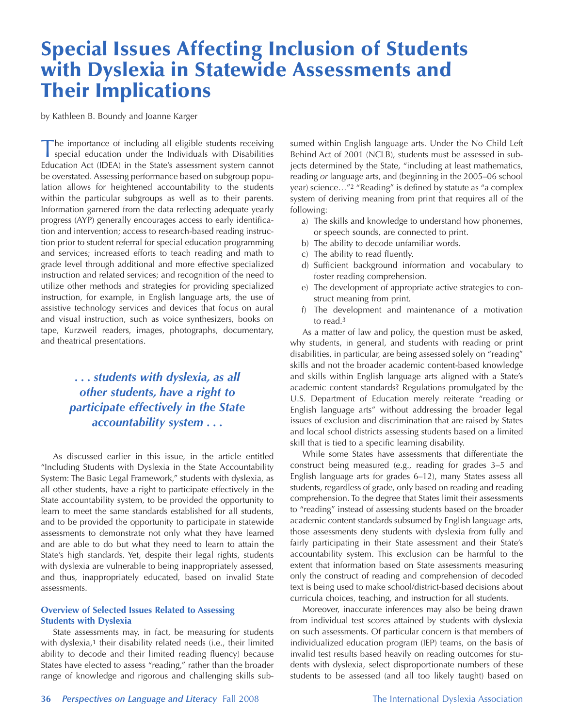# Special Issues Affecting Inclusion of Students with Dyslexia in Statewide Assessments and Their Implications

by Kathleen B. Boundy and Joanne Karger

The importance of including all eligible students receiving special education under the Individuals with Disabilities Education Act (IDEA) in the State's assessment system cannot be overstated. Assessing performance based on subgroup population allows for heightened accountability to the students within the particular subgroups as well as to their parents. Information garnered from the data reflecting adequate yearly progress (AYP) generally encourages access to early identification and intervention; access to research-based reading instruction prior to student referral for special education programming and services; increased efforts to teach reading and math to grade level through additional and more effective specialized instruction and related services; and recognition of the need to utilize other methods and strategies for providing specialized instruction, for example, in English language arts, the use of assistive technology services and devices that focus on aural and visual instruction, such as voice synthesizers, books on tape, Kurzweil readers, images, photographs, documentary, and theatrical presentations.

# *. . . students with dyslexia, as all other students, have a right to participate effectively in the State accountability system . . .*

As discussed earlier in this issue, in the article entitled "Including Students with Dyslexia in the State Accountability System: The Basic Legal Framework," students with dyslexia, as all other students, have a right to participate effectively in the State accountability system, to be provided the opportunity to learn to meet the same standards established for all students, and to be provided the opportunity to participate in statewide assessments to demonstrate not only what they have learned and are able to do but what they need to learn to attain the State's high standards. Yet, despite their legal rights, students with dyslexia are vulnerable to being inappropriately assessed, and thus, inappropriately educated, based on invalid State assessments.

## **Overview of Selected Issues Related to Assessing Students with Dyslexia**

State assessments may, in fact, be measuring for students with dyslexia,<sup>1</sup> their disability related needs (i.e., their limited ability to decode and their limited reading fluency) because States have elected to assess "reading," rather than the broader range of knowledge and rigorous and challenging skills subsumed within English language arts. Under the No Child Left Behind Act of 2001 (NCLB), students must be assessed in subjects determined by the State, "including at least mathematics, reading *or* language arts, and (beginning in the 2005–06 school year) science…"2 "Reading" is defined by statute as "a complex system of deriving meaning from print that requires all of the following:

- a) The skills and knowledge to understand how phonemes, or speech sounds, are connected to print.
- b) The ability to decode unfamiliar words.
- c) The ability to read fluently.
- d) Sufficient background information and vocabulary to foster reading comprehension.
- e) The development of appropriate active strategies to construct meaning from print.
- f) The development and maintenance of a motivation to read.3

As a matter of law and policy, the question must be asked, why students, in general, and students with reading or print disabilities, in particular, are being assessed solely on "reading" skills and not the broader academic content-based knowledge and skills within English language arts aligned with a State's academic content standards? Regulations promulgated by the U.S. Department of Education merely reiterate "reading or English language arts" without addressing the broader legal issues of exclusion and discrimination that are raised by States and local school districts assessing students based on a limited skill that is tied to a specific learning disability.

While some States have assessments that differentiate the construct being measured (e.g., reading for grades 3–5 and English language arts for grades 6–12), many States assess all students, regardless of grade, only based on reading and reading comprehension. To the degree that States limit their assessments to "reading" instead of assessing students based on the broader academic content standards subsumed by English language arts, those assessments deny students with dyslexia from fully and fairly participating in their State assessment and their State's accountability system. This exclusion can be harmful to the extent that information based on State assessments measuring only the construct of reading and comprehension of decoded text is being used to make school/district-based decisions about curricula choices, teaching, and instruction for all students.

Moreover, inaccurate inferences may also be being drawn from individual test scores attained by students with dyslexia on such assessments. Of particular concern is that members of individualized education program (IEP) teams, on the basis of invalid test results based heavily on reading outcomes for students with dyslexia, select disproportionate numbers of these students to be assessed (and all too likely taught) based on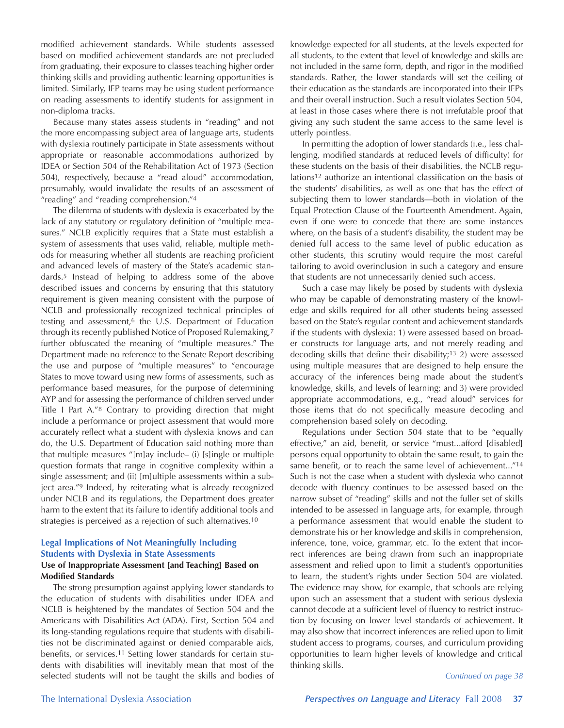modified achievement standards. While students assessed based on modified achievement standards are not precluded from graduating, their exposure to classes teaching higher order thinking skills and providing authentic learning opportunities is limited. Similarly, IEP teams may be using student performance on reading assessments to identify students for assignment in non-diploma tracks.

Because many states assess students in "reading" and not the more encompassing subject area of language arts, students with dyslexia routinely participate in State assessments without appropriate or reasonable accommodations authorized by IDEA or Section 504 of the Rehabilitation Act of 1973 (Section 504), respectively, because a "read aloud" accommodation, presumably, would invalidate the results of an assessment of "reading" and "reading comprehension."4

The dilemma of students with dyslexia is exacerbated by the lack of any statutory or regulatory definition of "multiple measures." NCLB explicitly requires that a State must establish a system of assessments that uses valid, reliable, multiple methods for measuring whether all students are reaching proficient and advanced levels of mastery of the State's academic standards.5 Instead of helping to address some of the above described issues and concerns by ensuring that this statutory requirement is given meaning consistent with the purpose of NCLB and professionally recognized technical principles of testing and assessment,<sup>6</sup> the U.S. Department of Education through its recently published Notice of Proposed Rulemaking,7 further obfuscated the meaning of "multiple measures." The Department made no reference to the Senate Report describing the use and purpose of "multiple measures" to "encourage States to move toward using new forms of assessments, such as performance based measures, for the purpose of determining AYP and for assessing the performance of children served under Title I Part A."8 Contrary to providing direction that might include a performance or project assessment that would more accurately reflect what a student with dyslexia knows and can do, the U.S. Department of Education said nothing more than that multiple measures "[m]ay include– (i) [s]ingle or multiple question formats that range in cognitive complexity within a single assessment; and (ii) [m]ultiple assessments within a subject area."9 Indeed, by reiterating what is already recognized under NCLB and its regulations, the Department does greater harm to the extent that its failure to identify additional tools and strategies is perceived as a rejection of such alternatives.10

## **Legal Implications of Not Meaningfully Including Students with Dyslexia in State Assessments Use of Inappropriate Assessment [and Teaching] Based on Modified Standards**

The strong presumption against applying lower standards to the education of students with disabilities under IDEA and NCLB is heightened by the mandates of Section 504 and the Americans with Disabilities Act (ADA). First, Section 504 and its long-standing regulations require that students with disabilities not be discriminated against or denied comparable aids, benefits, or services.11 Setting lower standards for certain students with disabilities will inevitably mean that most of the selected students will not be taught the skills and bodies of

knowledge expected for all students, at the levels expected for all students, to the extent that level of knowledge and skills are not included in the same form, depth, and rigor in the modified standards. Rather, the lower standards will set the ceiling of their education as the standards are incorporated into their IEPs and their overall instruction. Such a result violates Section 504, at least in those cases where there is not irrefutable proof that giving any such student the same access to the same level is utterly pointless.

In permitting the adoption of lower standards (i.e., less challenging, modified standards at reduced levels of difficulty) for these students on the basis of their disabilities, the NCLB regulations12 authorize an intentional classification on the basis of the students' disabilities, as well as one that has the effect of subjecting them to lower standards—both in violation of the Equal Protection Clause of the Fourteenth Amendment. Again, even if one were to concede that there are some instances where, on the basis of a student's disability, the student may be denied full access to the same level of public education as other students, this scrutiny would require the most careful tailoring to avoid overinclusion in such a category and ensure that students are not unnecessarily denied such access.

Such a case may likely be posed by students with dyslexia who may be capable of demonstrating mastery of the knowledge and skills required for all other students being assessed based on the State's regular content and achievement standards if the students with dyslexia: 1) were assessed based on broader constructs for language arts, and not merely reading and decoding skills that define their disability;13 2) were assessed using multiple measures that are designed to help ensure the accuracy of the inferences being made about the student's knowledge, skills, and levels of learning; and 3) were provided appropriate accommodations, e.g., "read aloud" services for those items that do not specifically measure decoding and comprehension based solely on decoding.

Regulations under Section 504 state that to be "equally effective," an aid, benefit, or service "must...afford [disabled] persons equal opportunity to obtain the same result, to gain the same benefit, or to reach the same level of achievement..."14 Such is not the case when a student with dyslexia who cannot decode with fluency continues to be assessed based on the narrow subset of "reading" skills and not the fuller set of skills intended to be assessed in language arts, for example, through a performance assessment that would enable the student to demonstrate his or her knowledge and skills in comprehension, inference, tone, voice, grammar, etc. To the extent that incorrect inferences are being drawn from such an inappropriate assessment and relied upon to limit a student's opportunities to learn, the student's rights under Section 504 are violated. The evidence may show, for example, that schools are relying upon such an assessment that a student with serious dyslexia cannot decode at a sufficient level of fluency to restrict instruction by focusing on lower level standards of achievement. It may also show that incorrect inferences are relied upon to limit student access to programs, courses, and curriculum providing opportunities to learn higher levels of knowledge and critical thinking skills.

#### *Continued on page 38*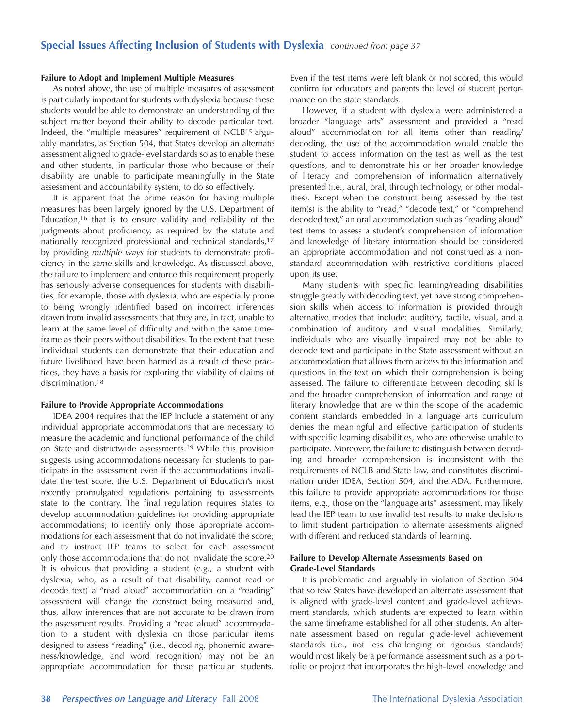### **Failure to Adopt and Implement Multiple Measures**

As noted above, the use of multiple measures of assessment is particularly important for students with dyslexia because these students would be able to demonstrate an understanding of the subject matter beyond their ability to decode particular text. Indeed, the "multiple measures" requirement of NCLB15 arguably mandates, as Section 504, that States develop an alternate assessment aligned to grade-level standards so as to enable these and other students, in particular those who because of their disability are unable to participate meaningfully in the State assessment and accountability system, to do so effectively.

It is apparent that the prime reason for having multiple measures has been largely ignored by the U.S. Department of Education,16 that is to ensure validity and reliability of the judgments about proficiency, as required by the statute and nationally recognized professional and technical standards,17 by providing *multiple ways* for students to demonstrate proficiency in the *same* skills and knowledge. As discussed above, the failure to implement and enforce this requirement properly has seriously adverse consequences for students with disabilities, for example, those with dyslexia, who are especially prone to being wrongly identified based on incorrect inferences drawn from invalid assessments that they are, in fact, unable to learn at the same level of difficulty and within the same timeframe as their peers without disabilities. To the extent that these individual students can demonstrate that their education and future livelihood have been harmed as a result of these practices, they have a basis for exploring the viability of claims of discrimination.<sup>18</sup>

#### **Failure to Provide Appropriate Accommodations**

IDEA 2004 requires that the IEP include a statement of any individual appropriate accommodations that are necessary to measure the academic and functional performance of the child on State and districtwide assessments.19 While this provision suggests using accommodations necessary for students to participate in the assessment even if the accommodations invalidate the test score, the U.S. Department of Education's most recently promulgated regulations pertaining to assessments state to the contrary. The final regulation requires States to develop accommodation guidelines for providing appropriate accommodations; to identify only those appropriate accommodations for each assessment that do not invalidate the score; and to instruct IEP teams to select for each assessment only those accommodations that do not invalidate the score.20 It is obvious that providing a student (e.g., a student with dyslexia, who, as a result of that disability, cannot read or decode text) a "read aloud" accommodation on a "reading" assessment will change the construct being measured and, thus, allow inferences that are not accurate to be drawn from the assessment results. Providing a "read aloud" accommodation to a student with dyslexia on those particular items designed to assess "reading" (i.e., decoding, phonemic awareness/knowledge, and word recognition) may not be an appropriate accommodation for these particular students.

Even if the test items were left blank or not scored, this would confirm for educators and parents the level of student performance on the state standards.

However, if a student with dyslexia were administered a broader "language arts" assessment and provided a "read aloud" accommodation for all items other than reading/ decoding, the use of the accommodation would enable the student to access information on the test as well as the test questions, and to demonstrate his or her broader knowledge of literacy and comprehension of information alternatively presented (i.e., aural, oral, through technology, or other modalities). Except when the construct being assessed by the test item(s) is the ability to "read," "decode text," or "comprehend decoded text," an oral accommodation such as "reading aloud" test items to assess a student's comprehension of information and knowledge of literary information should be considered an appropriate accommodation and not construed as a nonstandard accommodation with restrictive conditions placed upon its use.

Many students with specific learning/reading disabilities struggle greatly with decoding text, yet have strong comprehension skills when access to information is provided through alternative modes that include: auditory, tactile, visual, and a combination of auditory and visual modalities. Similarly, individuals who are visually impaired may not be able to decode text and participate in the State assessment without an accommodation that allows them access to the information and questions in the text on which their comprehension is being assessed. The failure to differentiate between decoding skills and the broader comprehension of information and range of literary knowledge that are within the scope of the academic content standards embedded in a language arts curriculum denies the meaningful and effective participation of students with specific learning disabilities, who are otherwise unable to participate. Moreover, the failure to distinguish between decoding and broader comprehension is inconsistent with the requirements of NCLB and State law, and constitutes discrimination under IDEA, Section 504, and the ADA. Furthermore, this failure to provide appropriate accommodations for those items, e.g., those on the "language arts" assessment, may likely lead the IEP team to use invalid test results to make decisions to limit student participation to alternate assessments aligned with different and reduced standards of learning.

## **Failure to Develop Alternate Assessments Based on Grade-Level Standards**

It is problematic and arguably in violation of Section 504 that so few States have developed an alternate assessment that is aligned with grade-level content and grade-level achievement standards, which students are expected to learn within the same timeframe established for all other students. An alternate assessment based on regular grade-level achievement standards (i.e., not less challenging or rigorous standards) would most likely be a performance assessment such as a portfolio or project that incorporates the high-level knowledge and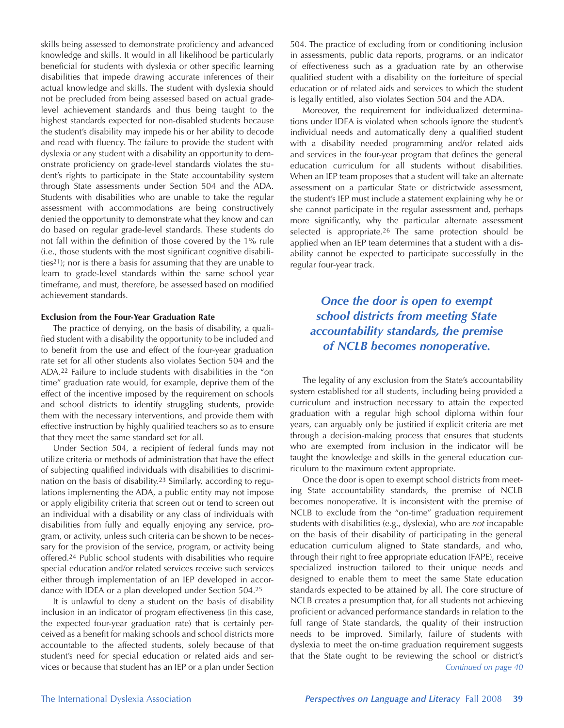skills being assessed to demonstrate proficiency and advanced knowledge and skills. It would in all likelihood be particularly beneficial for students with dyslexia or other specific learning disabilities that impede drawing accurate inferences of their actual knowledge and skills. The student with dyslexia should not be precluded from being assessed based on actual gradelevel achievement standards and thus being taught to the highest standards expected for non-disabled students because the student's disability may impede his or her ability to decode and read with fluency. The failure to provide the student with dyslexia or any student with a disability an opportunity to demonstrate proficiency on grade-level standards violates the student's rights to participate in the State accountability system through State assessments under Section 504 and the ADA. Students with disabilities who are unable to take the regular assessment with accommodations are being constructively denied the opportunity to demonstrate what they know and can do based on regular grade-level standards. These students do not fall within the definition of those covered by the 1% rule (i.e., those students with the most significant cognitive disabilities21); nor is there a basis for assuming that they are unable to learn to grade-level standards within the same school year timeframe, and must, therefore, be assessed based on modified achievement standards.

#### **Exclusion from the Four-Year Graduation Rate**

The practice of denying, on the basis of disability, a qualified student with a disability the opportunity to be included and to benefit from the use and effect of the four-year graduation rate set for all other students also violates Section 504 and the ADA.22 Failure to include students with disabilities in the "on time" graduation rate would, for example, deprive them of the effect of the incentive imposed by the requirement on schools and school districts to identify struggling students, provide them with the necessary interventions, and provide them with effective instruction by highly qualified teachers so as to ensure that they meet the same standard set for all.

Under Section 504, a recipient of federal funds may not utilize criteria or methods of administration that have the effect of subjecting qualified individuals with disabilities to discrimination on the basis of disability.23 Similarly, according to regulations implementing the ADA, a public entity may not impose or apply eligibility criteria that screen out or tend to screen out an individual with a disability or any class of individuals with disabilities from fully and equally enjoying any service, program, or activity, unless such criteria can be shown to be necessary for the provision of the service, program, or activity being offered.24 Public school students with disabilities who require special education and/or related services receive such services either through implementation of an IEP developed in accordance with IDEA or a plan developed under Section 504.25

It is unlawful to deny a student on the basis of disability inclusion in an indicator of program effectiveness (in this case, the expected four-year graduation rate) that is certainly perceived as a benefit for making schools and school districts more accountable to the affected students, solely because of that student's need for special education or related aids and services or because that student has an IEP or a plan under Section

504. The practice of excluding from or conditioning inclusion in assessments, public data reports, programs, or an indicator of effectiveness such as a graduation rate by an otherwise qualified student with a disability on the forfeiture of special education or of related aids and services to which the student is legally entitled, also violates Section 504 and the ADA.

Moreover, the requirement for individualized determinations under IDEA is violated when schools ignore the student's individual needs and automatically deny a qualified student with a disability needed programming and/or related aids and services in the four-year program that defines the general education curriculum for all students without disabilities. When an IEP team proposes that a student will take an alternate assessment on a particular State or districtwide assessment, the student's IEP must include a statement explaining why he or she cannot participate in the regular assessment and, perhaps more significantly, why the particular alternate assessment selected is appropriate.26 The same protection should be applied when an IEP team determines that a student with a disability cannot be expected to participate successfully in the regular four-year track.

# *Once the door is open to exempt school districts from meeting State accountability standards, the premise of NCLB becomes nonoperative.*

The legality of any exclusion from the State's accountability system established for all students, including being provided a curriculum and instruction necessary to attain the expected graduation with a regular high school diploma within four years, can arguably only be justified if explicit criteria are met through a decision-making process that ensures that students who are exempted from inclusion in the indicator will be taught the knowledge and skills in the general education curriculum to the maximum extent appropriate.

Once the door is open to exempt school districts from meeting State accountability standards, the premise of NCLB becomes nonoperative. It is inconsistent with the premise of NCLB to exclude from the "on-time" graduation requirement students with disabilities (e.g., dyslexia), who are *not* incapable on the basis of their disability of participating in the general education curriculum aligned to State standards, and who, through their right to free appropriate education (FAPE), receive specialized instruction tailored to their unique needs and designed to enable them to meet the same State education standards expected to be attained by all. The core structure of NCLB creates a presumption that, for all students not achieving proficient or advanced performance standards in relation to the full range of State standards, the quality of their instruction needs to be improved. Similarly, failure of students with dyslexia to meet the on-time graduation requirement suggests that the State ought to be reviewing the school or district's *Continued on page 40*